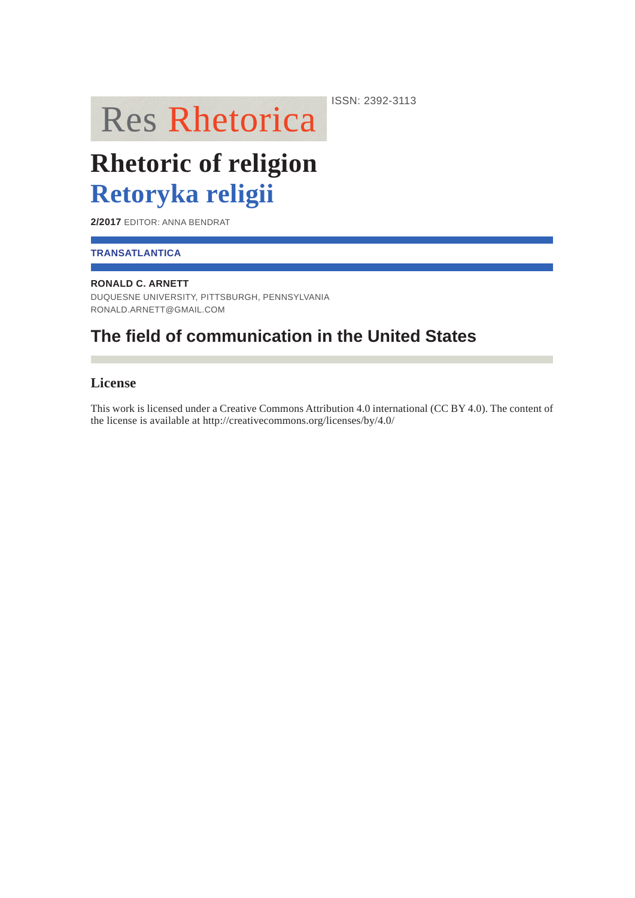# **Res Rhetorica**

**Rhetoric of religion Retoryka religii**

**2/2017** EDITOR: ANNA BENDRAT

### **TRANSATLANTICA**

#### **RONALD C. ARNETT**

DUQUESNE UNIVERSITY, PITTSBURGH, PENNSYLVANIA RONALD.ARNETT@GMAIL.COM

## **The field of communication in the United States**

## **License**

This work is licensed under a Creative Commons Attribution 4.0 international (CC BY 4.0). The content of the license is available at http://creativecommons.org/licenses/by/4.0/

ISSN: 2392-3113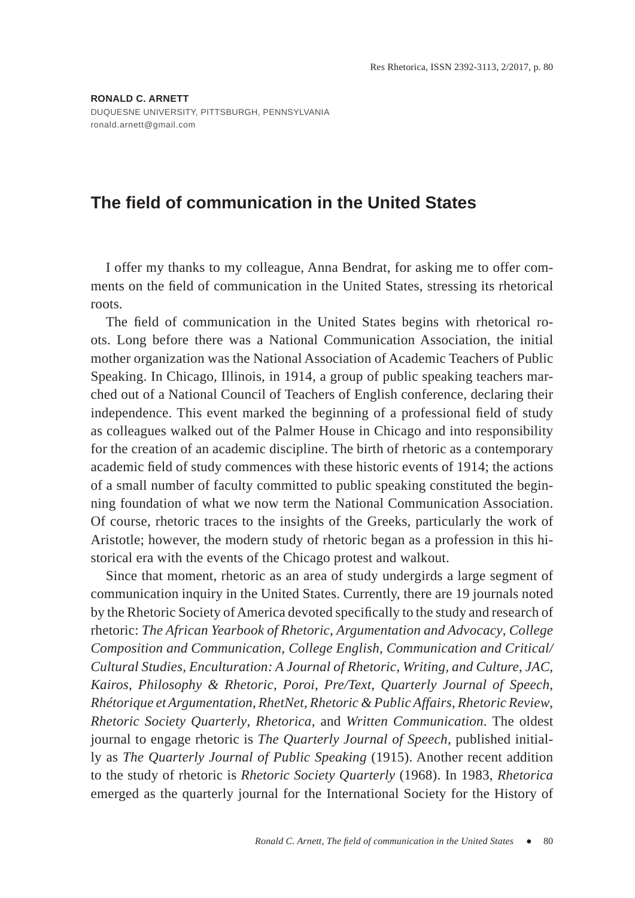## **The field of communication in the United States**

I offer my thanks to my colleague, Anna Bendrat, for asking me to offer comments on the field of communication in the United States, stressing its rhetorical roots.

The field of communication in the United States begins with rhetorical roots. Long before there was a National Communication Association, the initial mother organization was the National Association of Academic Teachers of Public Speaking. In Chicago, Illinois, in 1914, a group of public speaking teachers marched out of a National Council of Teachers of English conference, declaring their independence. This event marked the beginning of a professional field of study as colleagues walked out of the Palmer House in Chicago and into responsibility for the creation of an academic discipline. The birth of rhetoric as a contemporary academic field of study commences with these historic events of 1914; the actions of a small number of faculty committed to public speaking constituted the beginning foundation of what we now term the National Communication Association. Of course, rhetoric traces to the insights of the Greeks, particularly the work of Aristotle; however, the modern study of rhetoric began as a profession in this historical era with the events of the Chicago protest and walkout.

Since that moment, rhetoric as an area of study undergirds a large segment of communication inquiry in the United States. Currently, there are 19 journals noted by the Rhetoric Society of America devoted specifically to the study and research of rhetoric: *The African Yearbook of Rhetoric*, *Argumentation and Advocacy*, *College Composition and Communication*, *College English*, *Communication and Critical/ Cultural Studies*, *Enculturation: A Journal of Rhetoric*, *Writing, and Culture*, *JAC*, *Kairos*, *Philosophy & Rhetoric*, *Poroi*, *Pre/Text*, *Quarterly Journal of Speech*, *Rhétorique et Argumentation*, *RhetNet*, *Rhetoric & Public Affairs*, *Rhetoric Review*, *Rhetoric Society Quarterly*, *Rhetorica*, and *Written Communication*. The oldest journal to engage rhetoric is *The Quarterly Journal of Speech*, published initially as *The Quarterly Journal of Public Speaking* (1915). Another recent addition to the study of rhetoric is *Rhetoric Society Quarterly* (1968). In 1983, *Rhetorica* emerged as the quarterly journal for the International Society for the History of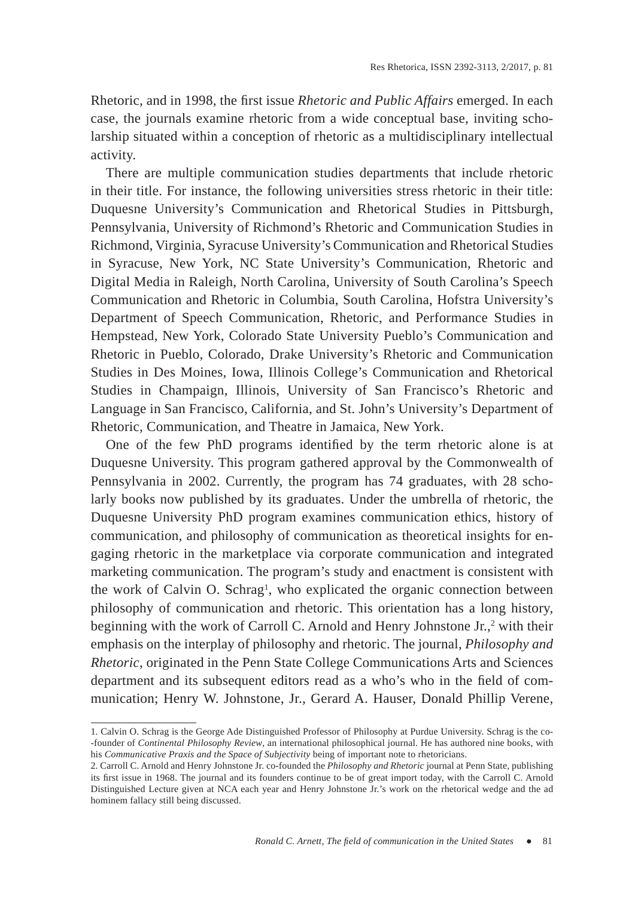Rhetoric, and in 1998, the first issue *Rhetoric and Public Affairs* emerged. In each case, the journals examine rhetoric from a wide conceptual base, inviting scholarship situated within a conception of rhetoric as a multidisciplinary intellectual activity.

There are multiple communication studies departments that include rhetoric in their title. For instance, the following universities stress rhetoric in their title: Duquesne University's Communication and Rhetorical Studies in Pittsburgh, Pennsylvania, University of Richmond's Rhetoric and Communication Studies in Richmond, Virginia, Syracuse University's Communication and Rhetorical Studies in Syracuse, New York, NC State University's Communication, Rhetoric and Digital Media in Raleigh, North Carolina, University of South Carolina's Speech Communication and Rhetoric in Columbia, South Carolina, Hofstra University's Department of Speech Communication, Rhetoric, and Performance Studies in Hempstead, New York, Colorado State University Pueblo's Communication and Rhetoric in Pueblo, Colorado, Drake University's Rhetoric and Communication Studies in Des Moines, Iowa, Illinois College's Communication and Rhetorical Studies in Champaign, Illinois, University of San Francisco's Rhetoric and Language in San Francisco, California, and St. John's University's Department of Rhetoric, Communication, and Theatre in Jamaica, New York.

One of the few PhD programs identified by the term rhetoric alone is at Duquesne University. This program gathered approval by the Commonwealth of Pennsylvania in 2002. Currently, the program has 74 graduates, with 28 scholarly books now published by its graduates. Under the umbrella of rhetoric, the Duquesne University PhD program examines communication ethics, history of communication, and philosophy of communication as theoretical insights for engaging rhetoric in the marketplace via corporate communication and integrated marketing communication. The program's study and enactment is consistent with the work of Calvin O. Schrag<sup>1</sup>, who explicated the organic connection between philosophy of communication and rhetoric. This orientation has a long history, beginning with the work of Carroll C. Arnold and Henry Johnstone Jr.,<sup>2</sup> with their emphasis on the interplay of philosophy and rhetoric. The journal, *Philosophy and Rhetoric*, originated in the Penn State College Communications Arts and Sciences department and its subsequent editors read as a who's who in the field of communication; Henry W. Johnstone, Jr., Gerard A. Hauser, Donald Phillip Verene,

<sup>1.</sup> Calvin O. Schrag is the George Ade Distinguished Professor of Philosophy at Purdue University. Schrag is the co- -founder of *Continental Philosophy Review*, an international philosophical journal. He has authored nine books, with his *Communicative Praxis and the Space of Subjectivity* being of important note to rhetoricians.

<sup>2.</sup> Carroll C. Arnold and Henry Johnstone Jr. co-founded the *Philosophy and Rhetoric* journal at Penn State, publishing its first issue in 1968. The journal and its founders continue to be of great import today, with the Carroll C. Arnold Distinguished Lecture given at NCA each year and Henry Johnstone Jr.'s work on the rhetorical wedge and the ad hominem fallacy still being discussed.